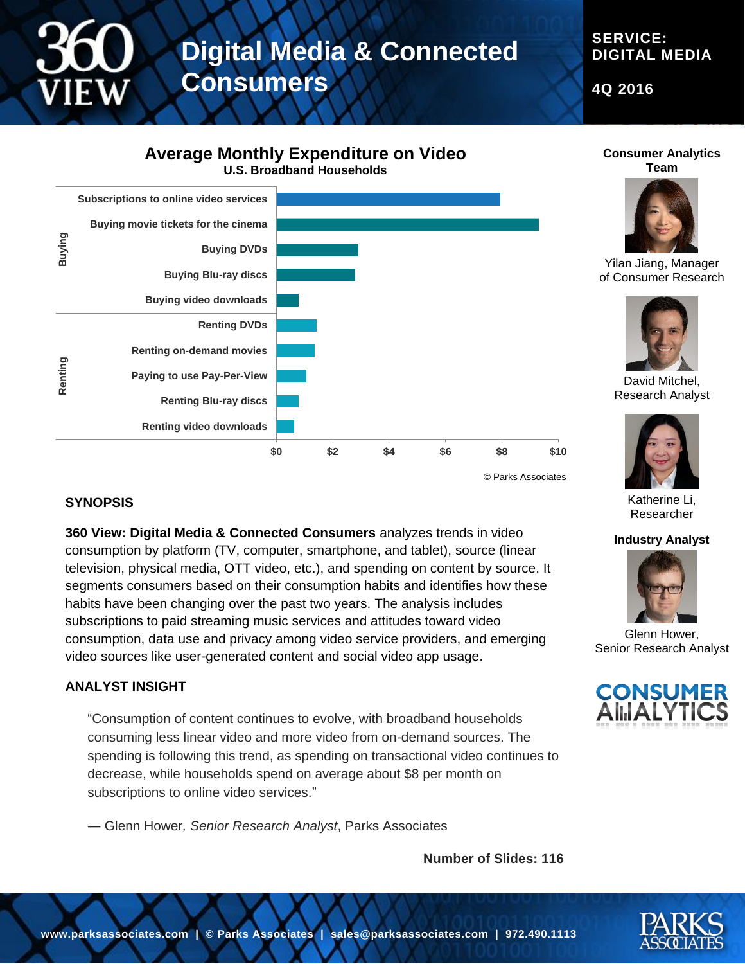# **Digital Media & Connected Consumers**

**SERVICE: DIGITAL MEDIA**

**4Q 2016**

### **Average Monthly Expenditure on Video U.S. Broadband Households**



### **SYNOPSIS**

**360 View: Digital Media & Connected Consumers** analyzes trends in video consumption by platform (TV, computer, smartphone, and tablet), source (linear television, physical media, OTT video, etc.), and spending on content by source. It segments consumers based on their consumption habits and identifies how these habits have been changing over the past two years. The analysis includes subscriptions to paid streaming music services and attitudes toward video consumption, data use and privacy among video service providers, and emerging video sources like user-generated content and social video app usage.

#### **ANALYST INSIGHT**

"Consumption of content continues to evolve, with broadband households consuming less linear video and more video from on-demand sources. The spending is following this trend, as spending on transactional video continues to decrease, while households spend on average about \$8 per month on subscriptions to online video services."

― Glenn Hower*, Senior Research Analyst*, Parks Associates

**Number of Slides: 116**





Yilan Jiang, Manager of Consumer Research



David Mitchel, Research Analyst



Katherine Li, Researcher

#### **Industry Analyst**



Glenn Hower, Senior Research Analyst



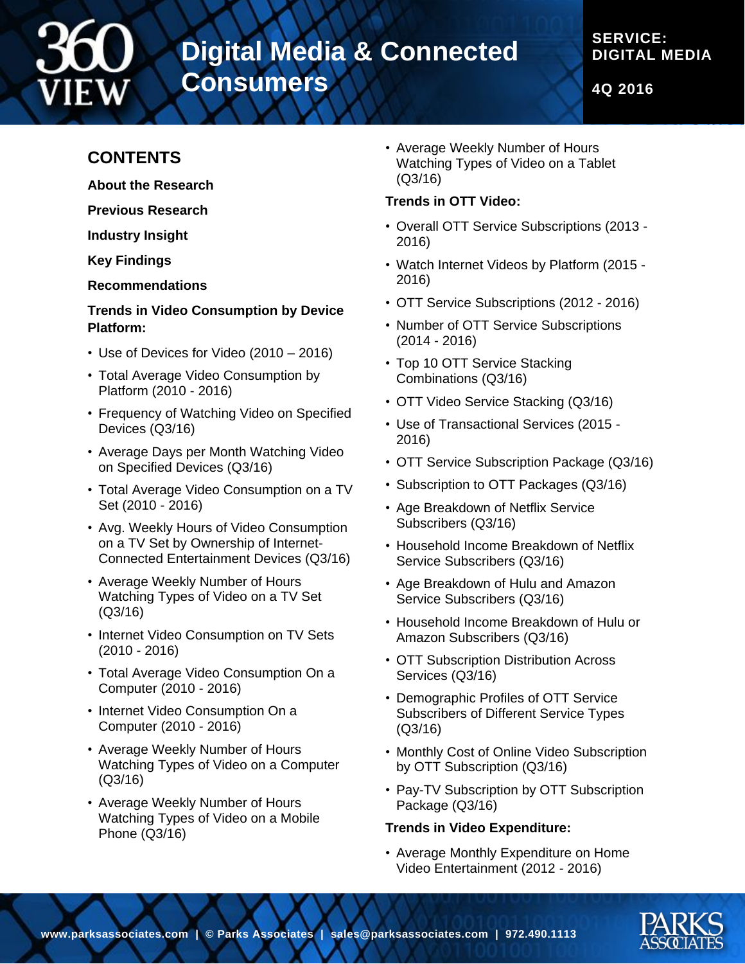

# **Digital Media & Connected Consumers**

# **SERVICE: DIGITAL MEDIA**

**4Q 2016**

# **CONTENTS**

**About the Research**

**Previous Research**

**Industry Insight**

**Key Findings**

**Recommendations**

### **Trends in Video Consumption by Device Platform:**

- Use of Devices for Video (2010 2016)
- Total Average Video Consumption by Platform (2010 - 2016)
- Frequency of Watching Video on Specified Devices (Q3/16)
- Average Days per Month Watching Video on Specified Devices (Q3/16)
- Total Average Video Consumption on a TV Set (2010 - 2016)
- Avg. Weekly Hours of Video Consumption on a TV Set by Ownership of Internet-Connected Entertainment Devices (Q3/16)
- Average Weekly Number of Hours Watching Types of Video on a TV Set (Q3/16)
- Internet Video Consumption on TV Sets (2010 - 2016)
- Total Average Video Consumption On a Computer (2010 - 2016)
- Internet Video Consumption On a Computer (2010 - 2016)
- Average Weekly Number of Hours Watching Types of Video on a Computer (Q3/16)
- Average Weekly Number of Hours Watching Types of Video on a Mobile Phone (Q3/16)

• Average Weekly Number of Hours Watching Types of Video on a Tablet (Q3/16)

### **Trends in OTT Video:**

- Overall OTT Service Subscriptions (2013 2016)
- Watch Internet Videos by Platform (2015 2016)
- OTT Service Subscriptions (2012 2016)
- Number of OTT Service Subscriptions (2014 - 2016)
- Top 10 OTT Service Stacking Combinations (Q3/16)
- OTT Video Service Stacking (Q3/16)
- Use of Transactional Services (2015 2016)
- OTT Service Subscription Package (Q3/16)
- Subscription to OTT Packages (Q3/16)
- Age Breakdown of Netflix Service Subscribers (Q3/16)
- Household Income Breakdown of Netflix Service Subscribers (Q3/16)
- Age Breakdown of Hulu and Amazon Service Subscribers (Q3/16)
- Household Income Breakdown of Hulu or Amazon Subscribers (Q3/16)
- OTT Subscription Distribution Across Services (Q3/16)
- Demographic Profiles of OTT Service Subscribers of Different Service Types (Q3/16)
- Monthly Cost of Online Video Subscription by OTT Subscription (Q3/16)
- Pay-TV Subscription by OTT Subscription Package (Q3/16)

### **Trends in Video Expenditure:**

• Average Monthly Expenditure on Home Video Entertainment (2012 - 2016)

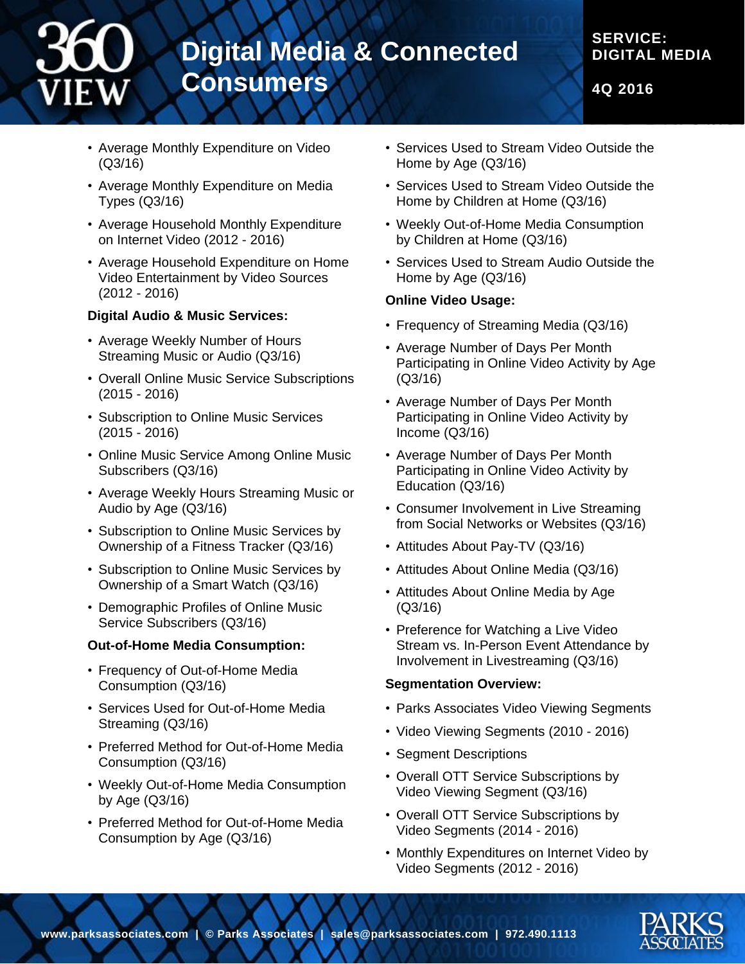

**4Q 2016**

- Average Monthly Expenditure on Video (Q3/16)
- Average Monthly Expenditure on Media Types (Q3/16)
- Average Household Monthly Expenditure on Internet Video (2012 - 2016)
- Average Household Expenditure on Home Video Entertainment by Video Sources (2012 - 2016)

#### **Digital Audio & Music Services:**

- Average Weekly Number of Hours Streaming Music or Audio (Q3/16)
- Overall Online Music Service Subscriptions (2015 - 2016)
- Subscription to Online Music Services (2015 - 2016)
- Online Music Service Among Online Music Subscribers (Q3/16)
- Average Weekly Hours Streaming Music or Audio by Age (Q3/16)
- Subscription to Online Music Services by Ownership of a Fitness Tracker (Q3/16)
- Subscription to Online Music Services by Ownership of a Smart Watch (Q3/16)
- Demographic Profiles of Online Music Service Subscribers (Q3/16)

#### **Out-of-Home Media Consumption:**

- Frequency of Out-of-Home Media Consumption (Q3/16)
- Services Used for Out-of-Home Media Streaming (Q3/16)
- Preferred Method for Out-of-Home Media Consumption (Q3/16)
- Weekly Out-of-Home Media Consumption by Age (Q3/16)
- Preferred Method for Out-of-Home Media Consumption by Age (Q3/16)
- Services Used to Stream Video Outside the Home by Age (Q3/16)
- Services Used to Stream Video Outside the Home by Children at Home (Q3/16)
- Weekly Out-of-Home Media Consumption by Children at Home (Q3/16)
- Services Used to Stream Audio Outside the Home by Age (Q3/16)

#### **Online Video Usage:**

- Frequency of Streaming Media (Q3/16)
- Average Number of Days Per Month Participating in Online Video Activity by Age (Q3/16)
- Average Number of Days Per Month Participating in Online Video Activity by Income (Q3/16)
- Average Number of Days Per Month Participating in Online Video Activity by Education (Q3/16)
- Consumer Involvement in Live Streaming from Social Networks or Websites (Q3/16)
- Attitudes About Pay-TV (Q3/16)
- Attitudes About Online Media (Q3/16)
- Attitudes About Online Media by Age (Q3/16)
- Preference for Watching a Live Video Stream vs. In-Person Event Attendance by Involvement in Livestreaming (Q3/16)

#### **Segmentation Overview:**

- Parks Associates Video Viewing Segments
- Video Viewing Segments (2010 2016)
- Segment Descriptions
- Overall OTT Service Subscriptions by Video Viewing Segment (Q3/16)
- Overall OTT Service Subscriptions by Video Segments (2014 - 2016)
- Monthly Expenditures on Internet Video by Video Segments (2012 - 2016)

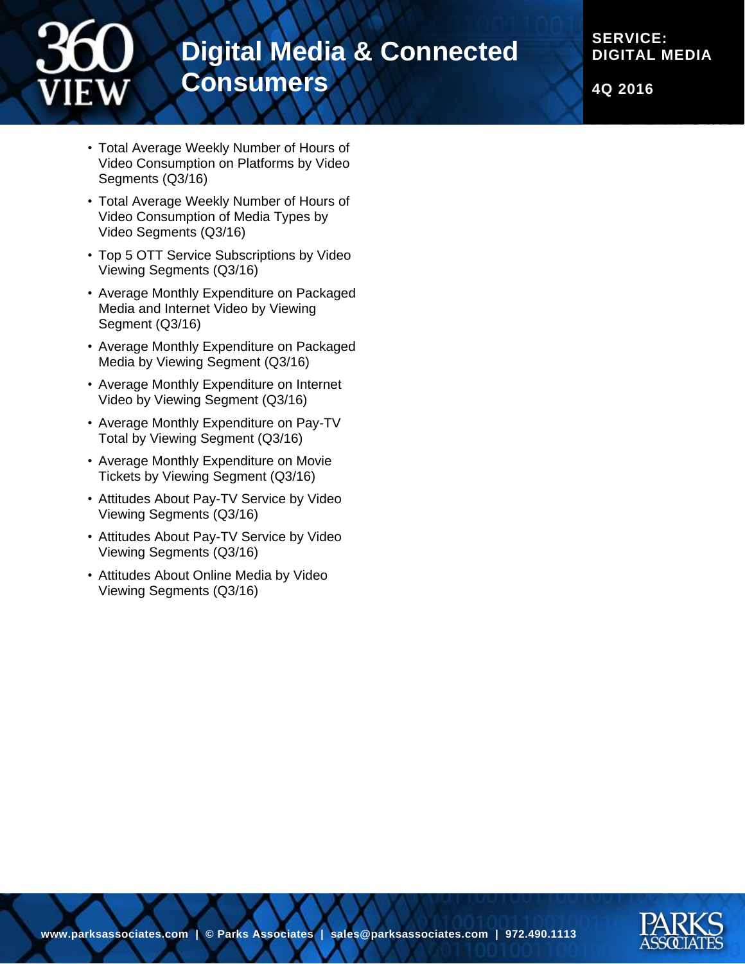

**SERVICE: DIGITAL MEDIA**

**4Q 2016**

- Total Average Weekly Number of Hours of Video Consumption on Platforms by Video Segments (Q3/16)
- Total Average Weekly Number of Hours of Video Consumption of Media Types by Video Segments (Q3/16)
- Top 5 OTT Service Subscriptions by Video Viewing Segments (Q3/16)
- Average Monthly Expenditure on Packaged Media and Internet Video by Viewing Segment (Q3/16)
- Average Monthly Expenditure on Packaged Media by Viewing Segment (Q3/16)
- Average Monthly Expenditure on Internet Video by Viewing Segment (Q3/16)
- Average Monthly Expenditure on Pay-TV Total by Viewing Segment (Q3/16)
- Average Monthly Expenditure on Movie Tickets by Viewing Segment (Q3/16)
- Attitudes About Pay-TV Service by Video Viewing Segments (Q3/16)
- Attitudes About Pay-TV Service by Video Viewing Segments (Q3/16)
- Attitudes About Online Media by Video Viewing Segments (Q3/16)